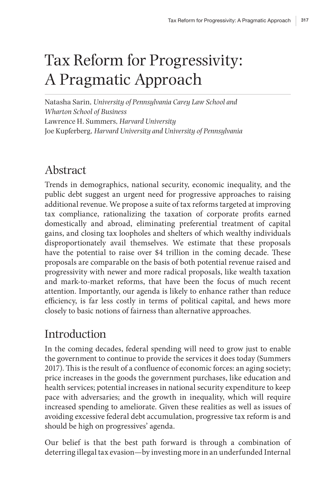# Tax Reform for Progressivity: A Pragmatic Approach

Natasha Sarin, *University of Pennsylvania Carey Law School and Wharton School of Business* Lawrence H. Summers, *Harvard University* Joe Kupferberg, *Harvard University and University of Pennsylvania*

# Abstract

Trends in demographics, national security, economic inequality, and the public debt suggest an urgent need for progressive approaches to raising additional revenue. We propose a suite of tax reforms targeted at improving tax compliance, rationalizing the taxation of corporate profits earned domestically and abroad, eliminating preferential treatment of capital gains, and closing tax loopholes and shelters of which wealthy individuals disproportionately avail themselves. We estimate that these proposals have the potential to raise over \$4 trillion in the coming decade. These proposals are comparable on the basis of both potential revenue raised and progressivity with newer and more radical proposals, like wealth taxation and mark-to-market reforms, that have been the focus of much recent attention. Importantly, our agenda is likely to enhance rather than reduce efficiency, is far less costly in terms of political capital, and hews more closely to basic notions of fairness than alternative approaches.

# **Introduction**

In the coming decades, federal spending will need to grow just to enable the government to continue to provide the services it does today (Summers 2017). This is the result of a confluence of economic forces: an aging society; price increases in the goods the government purchases, like education and health services; potential increases in national security expenditure to keep pace with adversaries; and the growth in inequality, which will require increased spending to ameliorate. Given these realities as well as issues of avoiding excessive federal debt accumulation, progressive tax reform is and should be high on progressives' agenda.

Our belief is that the best path forward is through a combination of deterring illegal tax evasion—by investing more in an underfunded Internal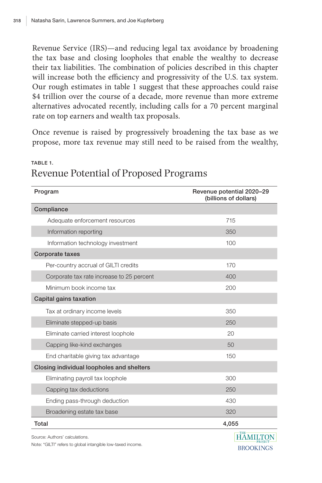Revenue Service (IRS)—and reducing legal tax avoidance by broadening the tax base and closing loopholes that enable the wealthy to decrease their tax liabilities. The combination of policies described in this chapter will increase both the efficiency and progressivity of the U.S. tax system. Our rough estimates in table 1 suggest that these approaches could raise \$4 trillion over the course of a decade, more revenue than more extreme alternatives advocated recently, including calls for a 70 percent marginal rate on top earners and wealth tax proposals.

Once revenue is raised by progressively broadening the tax base as we propose, more tax revenue may still need to be raised from the wealthy,

| Program                                   | Revenue potential 2020-29<br>(billions of dollars) |
|-------------------------------------------|----------------------------------------------------|
| Compliance                                |                                                    |
| Adequate enforcement resources            | 715                                                |
| Information reporting                     | 350                                                |
| Information technology investment         | 100                                                |
| Corporate taxes                           |                                                    |
| Per-country accrual of GILTI credits      | 170                                                |
| Corporate tax rate increase to 25 percent | 400                                                |
| Minimum book income tax                   | 200                                                |
| Capital gains taxation                    |                                                    |
| Tax at ordinary income levels             | 350                                                |
| Eliminate stepped-up basis                | 250                                                |
| Eliminate carried interest loophole       | 20                                                 |
| Capping like-kind exchanges               | 50                                                 |
| End charitable giving tax advantage       | 150                                                |
| Closing individual loopholes and shelters |                                                    |
| Eliminating payroll tax loophole          | 300                                                |
| Capping tax deductions                    | 250                                                |
| Ending pass-through deduction             | 430                                                |
| Broadening estate tax base                | 320                                                |
| Total                                     | 4,055                                              |
| Source: Authors' calculations.            | <b>HAMILTON</b>                                    |

### TABLE 1. Revenue Potential of Proposed Programs

Note: "GILTI" refers to global intangible low-taxed income.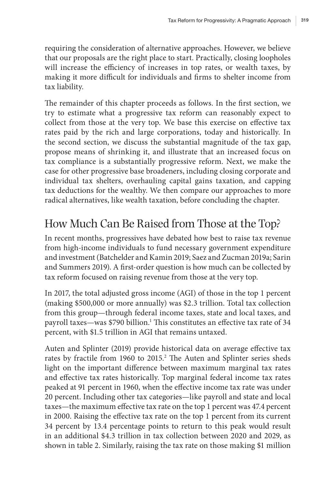requiring the consideration of alternative approaches. However, we believe that our proposals are the right place to start. Practically, closing loopholes will increase the efficiency of increases in top rates, or wealth taxes, by making it more difficult for individuals and firms to shelter income from tax liability.

The remainder of this chapter proceeds as follows. In the first section, we try to estimate what a progressive tax reform can reasonably expect to collect from those at the very top. We base this exercise on effective tax rates paid by the rich and large corporations, today and historically. In the second section, we discuss the substantial magnitude of the tax gap, propose means of shrinking it, and illustrate that an increased focus on tax compliance is a substantially progressive reform. Next, we make the case for other progressive base broadeners, including closing corporate and individual tax shelters, overhauling capital gains taxation, and capping tax deductions for the wealthy. We then compare our approaches to more radical alternatives, like wealth taxation, before concluding the chapter.

# How Much Can Be Raised from Those at the Top?

In recent months, progressives have debated how best to raise tax revenue from high-income individuals to fund necessary government expenditure and investment (Batchelder and Kamin 2019; Saez and Zucman 2019a; Sarin and Summers 2019). A first-order question is how much can be collected by tax reform focused on raising revenue from those at the very top.

In 2017, the total adjusted gross income (AGI) of those in the top 1 percent (making \$500,000 or more annually) was \$2.3 trillion. Total tax collection from this group—through federal income taxes, state and local taxes, and payroll taxes—was \$790 billion.<sup>1</sup> This constitutes an effective tax rate of 34 percent, with \$1.5 trillion in AGI that remains untaxed.

Auten and Splinter (2019) provide historical data on average effective tax rates by fractile from 1960 to 2015.<sup>2</sup> The Auten and Splinter series sheds light on the important difference between maximum marginal tax rates and effective tax rates historically. Top marginal federal income tax rates peaked at 91 percent in 1960, when the effective income tax rate was under 20 percent. Including other tax categories—like payroll and state and local taxes—the maximum effective tax rate on the top 1 percent was 47.4 percent in 2000. Raising the effective tax rate on the top 1 percent from its current 34 percent by 13.4 percentage points to return to this peak would result in an additional \$4.3 trillion in tax collection between 2020 and 2029, as shown in table 2. Similarly, raising the tax rate on those making \$1 million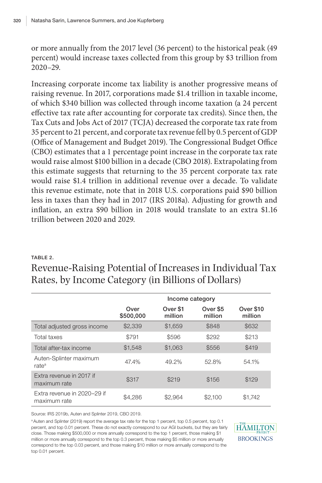or more annually from the 2017 level (36 percent) to the historical peak (49 percent) would increase taxes collected from this group by \$3 trillion from 2020–29.

Increasing corporate income tax liability is another progressive means of raising revenue. In 2017, corporations made \$1.4 trillion in taxable income, of which \$340 billion was collected through income taxation (a 24 percent effective tax rate after accounting for corporate tax credits). Since then, the Tax Cuts and Jobs Act of 2017 (TCJA) decreased the corporate tax rate from 35 percent to 21 percent, and corporate tax revenue fell by 0.5 percent of GDP (Office of Management and Budget 2019). The Congressional Budget Office (CBO) estimates that a 1 percentage point increase in the corporate tax rate would raise almost \$100 billion in a decade (CBO 2018). Extrapolating from this estimate suggests that returning to the 35 percent corporate tax rate would raise \$1.4 trillion in additional revenue over a decade. To validate this revenue estimate, note that in 2018 U.S. corporations paid \$90 billion less in taxes than they had in 2017 (IRS 2018a). Adjusting for growth and inflation, an extra \$90 billion in 2018 would translate to an extra \$1.16 trillion between 2020 and 2029.

#### TABLE 2.

Revenue-Raising Potential of Increases in Individual Tax Rates, by Income Category (in Billions of Dollars)

|                                             | Income category   |                     |                     |                      |
|---------------------------------------------|-------------------|---------------------|---------------------|----------------------|
|                                             | Over<br>\$500,000 | Over \$1<br>million | Over \$5<br>million | Over \$10<br>million |
| Total adjusted gross income                 | \$2,339           | \$1,659             | \$848               | \$632                |
| Total taxes                                 | \$791             | \$596               | \$292               | \$213                |
| Total after-tax income                      | \$1.548           | \$1,063             | \$556               | \$419                |
| Auten-Splinter maximum<br>rate <sup>a</sup> | 47.4%             | 49.2%               | 52.8%               | 54.1%                |
| Extra revenue in 2017 if<br>maximum rate    | \$317             | \$219               | \$156               | \$129                |
| Extra revenue in 2020-29 if<br>maximum rate | \$4.286           | \$2,964             | \$2,100             | \$1.742              |

Source: IRS 2019b, Auten and Splinter 2019, CBO 2019.

<sup>a</sup> Auten and Splinter (2019) report the average tax rate for the top 1 percent, top 0.5 percent, top 0.1 percent, and top 0.01 percent. These do not exactly correspond to our AGI buckets, but they are fairly close. Those making \$500,000 or more annually correspond to the top 1 percent, those making \$1 million or more annually correspond to the top 0.3 percent, those making \$5 million or more annually correspond to the top 0.03 percent, and those making \$10 million or more annually correspond to the top 0.01 percent.

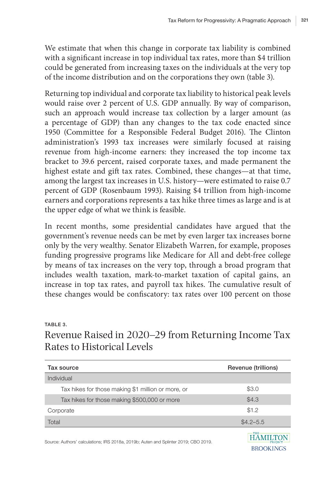We estimate that when this change in corporate tax liability is combined with a significant increase in top individual tax rates, more than \$4 trillion could be generated from increasing taxes on the individuals at the very top of the income distribution and on the corporations they own (table 3).

Returning top individual and corporate tax liability to historical peak levels would raise over 2 percent of U.S. GDP annually. By way of comparison, such an approach would increase tax collection by a larger amount (as a percentage of GDP) than any changes to the tax code enacted since 1950 (Committee for a Responsible Federal Budget 2016). The Clinton administration's 1993 tax increases were similarly focused at raising revenue from high-income earners: they increased the top income tax bracket to 39.6 percent, raised corporate taxes, and made permanent the highest estate and gift tax rates. Combined, these changes—at that time, among the largest tax increases in U.S. history—were estimated to raise 0.7 percent of GDP (Rosenbaum 1993). Raising \$4 trillion from high-income earners and corporations represents a tax hike three times as large and is at the upper edge of what we think is feasible.

In recent months, some presidential candidates have argued that the government's revenue needs can be met by even larger tax increases borne only by the very wealthy. Senator Elizabeth Warren, for example, proposes funding progressive programs like Medicare for All and debt-free college by means of tax increases on the very top, through a broad program that includes wealth taxation, mark-to-market taxation of capital gains, an increase in top tax rates, and payroll tax hikes. The cumulative result of these changes would be confiscatory: tax rates over 100 percent on those

#### TABLE 3.

Revenue Raised in 2020–29 from Returning Income Tax Rates to Historical Levels

| Tax source                                                                          | Revenue (trillions)                       |
|-------------------------------------------------------------------------------------|-------------------------------------------|
| Individual                                                                          |                                           |
| Tax hikes for those making \$1 million or more, or                                  | \$3.0                                     |
| Tax hikes for those making \$500,000 or more                                        | \$4.3                                     |
| Corporate                                                                           | \$1.2                                     |
| Total                                                                               | $$4.2 - 5.5$                              |
| Source: Authors' calculations: IRS 2018a, 2019b: Auten and Splinter 2019: CBO 2019. | THE<br><b>PROJECT</b><br><b>BROOKINGS</b> |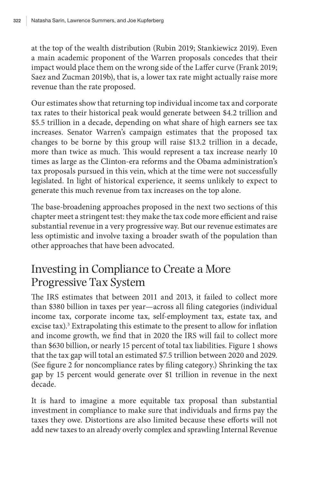at the top of the wealth distribution (Rubin 2019; Stankiewicz 2019). Even a main academic proponent of the Warren proposals concedes that their impact would place them on the wrong side of the Laffer curve (Frank 2019; Saez and Zucman 2019b), that is, a lower tax rate might actually raise more revenue than the rate proposed.

Our estimates show that returning top individual income tax and corporate tax rates to their historical peak would generate between \$4.2 trillion and \$5.5 trillion in a decade, depending on what share of high earners see tax increases. Senator Warren's campaign estimates that the proposed tax changes to be borne by this group will raise \$13.2 trillion in a decade, more than twice as much. This would represent a tax increase nearly 10 times as large as the Clinton-era reforms and the Obama administration's tax proposals pursued in this vein, which at the time were not successfully legislated. In light of historical experience, it seems unlikely to expect to generate this much revenue from tax increases on the top alone.

The base-broadening approaches proposed in the next two sections of this chapter meet a stringent test: they make the tax code more efficient and raise substantial revenue in a very progressive way. But our revenue estimates are less optimistic and involve taxing a broader swath of the population than other approaches that have been advocated.

# Investing in Compliance to Create a More Progressive Tax System

The IRS estimates that between 2011 and 2013, it failed to collect more than \$380 billion in taxes per year—across all filing categories (individual income tax, corporate income tax, self-employment tax, estate tax, and excise tax).<sup>3</sup> Extrapolating this estimate to the present to allow for inflation and income growth, we find that in 2020 the IRS will fail to collect more than \$630 billion, or nearly 15 percent of total tax liabilities. Figure 1 shows that the tax gap will total an estimated \$7.5 trillion between 2020 and 2029. (See figure 2 for noncompliance rates by filing category.) Shrinking the tax gap by 15 percent would generate over \$1 trillion in revenue in the next decade.

It is hard to imagine a more equitable tax proposal than substantial investment in compliance to make sure that individuals and firms pay the taxes they owe. Distortions are also limited because these efforts will not add new taxes to an already overly complex and sprawling Internal Revenue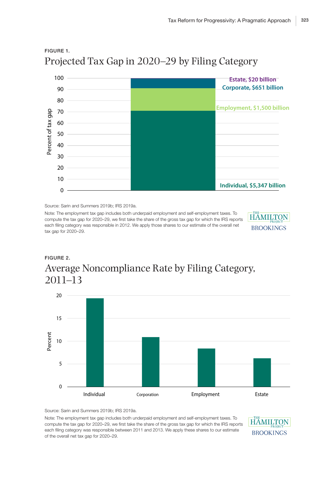

### FIGURE 1. Projected Tax Gap in 2020–29 by Filing Category

Source: Sarin and Summers 2019b; IRS 2019a.

Note: The employment tax gap includes both underpaid employment and self-employment taxes. To compute the tax gap for 2020–29, we first take the share of the gross tax gap for which the IRS reports each filing category was responsible in 2012. We apply those shares to our estimate of the overall net tax gap for 2020–29.



### FIGURE 2. Average Noncompliance Rate by Filing Category, 2011–13



Source: Sarin and Summers 2019b; IRS 2019a.

Note: The employment tax gap includes both underpaid employment and self-employment taxes. To compute the tax gap for 2020–29, we first take the share of the gross tax gap for which the IRS reports each filing category was responsible between 2011 and 2013. We apply these shares to our estimate of the overall net tax gap for 2020–29.

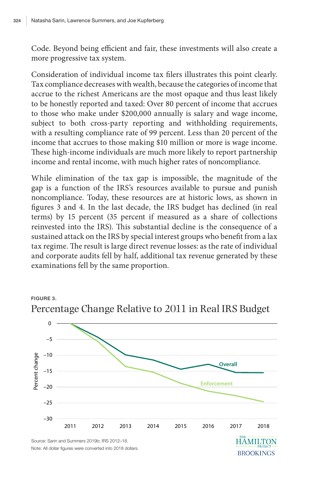FIGURE 3.

Code. Beyond being efficient and fair, these investments will also create a more progressive tax system.

Consideration of individual income tax filers illustrates this point clearly. Tax compliance decreases with wealth, because the categories of income that accrue to the richest Americans are the most opaque and thus least likely to be honestly reported and taxed: Over 80 percent of income that accrues to those who make under \$200,000 annually is salary and wage income, subject to both cross-party reporting and withholding requirements, with a resulting compliance rate of 99 percent. Less than 20 percent of the income that accrues to those making \$10 million or more is wage income. These high-income individuals are much more likely to report partnership income and rental income, with much higher rates of noncompliance.

While elimination of the tax gap is impossible, the magnitude of the gap is a function of the IRS's resources available to pursue and punish noncompliance. Today, these resources are at historic lows, as shown in figures 3 and 4. In the last decade, the IRS budget has declined (in real terms) by 15 percent (35 percent if measured as a share of collections reinvested into the IRS). This substantial decline is the consequence of a sustained attack on the IRS by special interest groups who benefit from a lax tax regime. The result is large direct revenue losses: as the rate of individual and corporate audits fell by half, additional tax revenue generated by these examinations fell by the same proportion.



### Percentage Change Relative to 2011 in Real IRS Budget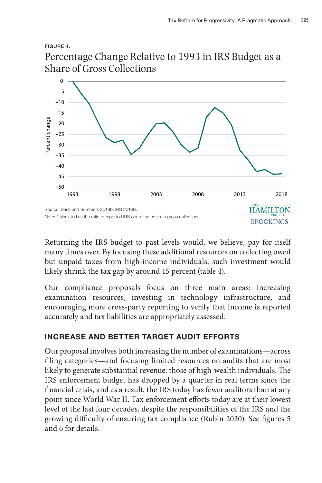#### FIGURE 4.





Returning the IRS budget to past levels would, we believe, pay for itself many times over. By focusing these additional resources on collecting owed but unpaid taxes from high-income individuals, such investment would likely shrink the tax gap by around 15 percent (table 4).

Our compliance proposals focus on three main areas: increasing examination resources, investing in technology infrastructure, and encouraging more cross-party reporting to verify that income is reported accurately and tax liabilities are appropriately assessed.

#### INCREASE AND BETTER TARGET AUDIT EFFORTS

Our proposal involves both increasing the number of examinations—across filing categories—and focusing limited resources on audits that are most likely to generate substantial revenue: those of high-wealth individuals. The IRS enforcement budget has dropped by a quarter in real terms since the financial crisis, and as a result, the IRS today has fewer auditors than at any point since World War II. Tax enforcement efforts today are at their lowest level of the last four decades, despite the responsibilities of the IRS and the growing difficulty of ensuring tax compliance (Rubin 2020). See figures 5 and 6 for details.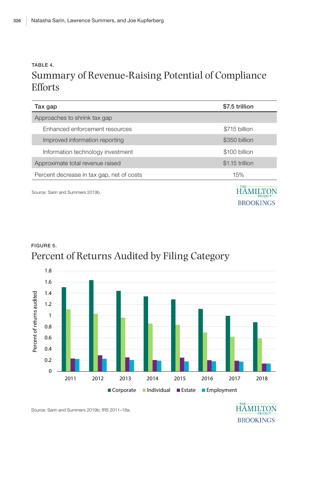### TABLE 4. Summary of Revenue-Raising Potential of Compliance Efforts

| Tax gap                                   | \$7.5 trillion             |
|-------------------------------------------|----------------------------|
| Approaches to shrink tax gap              |                            |
| Enhanced enforcement resources            | \$715 billion              |
| Improved information reporting            | \$350 billion              |
| Information technology investment         | \$100 billion              |
| Approximate total revenue raised          | \$1.15 trillion            |
| Percent decrease in tax gap, net of costs | 15%                        |
| Source: Sarin and Summers 2019b.          | $-$ THE<br>PROJEC'<br>BROC |

FIGURE 5. Percent of Returns Audited by Filing Category 1.8



Source: Sarin and Summers 2019b; IRS 2011–18a.

**HAMILTON BROOKINGS**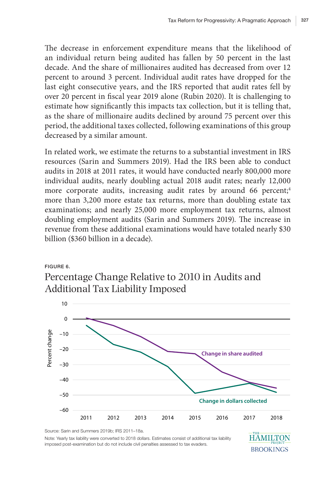The decrease in enforcement expenditure means that the likelihood of an individual return being audited has fallen by 50 percent in the last decade. And the share of millionaires audited has decreased from over 12 percent to around 3 percent. Individual audit rates have dropped for the last eight consecutive years, and the IRS reported that audit rates fell by over 20 percent in fiscal year 2019 alone (Rubin 2020). It is challenging to estimate how significantly this impacts tax collection, but it is telling that, as the share of millionaire audits declined by around 75 percent over this period, the additional taxes collected, following examinations of this group decreased by a similar amount.

In related work, we estimate the returns to a substantial investment in IRS resources (Sarin and Summers 2019). Had the IRS been able to conduct audits in 2018 at 2011 rates, it would have conducted nearly 800,000 more individual audits, nearly doubling actual 2018 audit rates; nearly 12,000 more corporate audits, increasing audit rates by around 66 percent;<sup>4</sup> more than 3,200 more estate tax returns, more than doubling estate tax examinations; and nearly 25,000 more employment tax returns, almost doubling employment audits (Sarin and Summers 2019). The increase in revenue from these additional examinations would have totaled nearly \$30 billion (\$360 billion in a decade).

### FIGURE 6. Percentage Change Relative to 2010 in Audits and Additional Tax Liability Imposed



Source: Sarin and Summers 2019b; IRS 2011–18a. **HAMILTON** Note: Yearly tax liability were converted to 2018 dollars. Estimates consist of additional tax liability imposed post-examination but do not include civil penalties assessed to tax evaders. **BROOKINGS**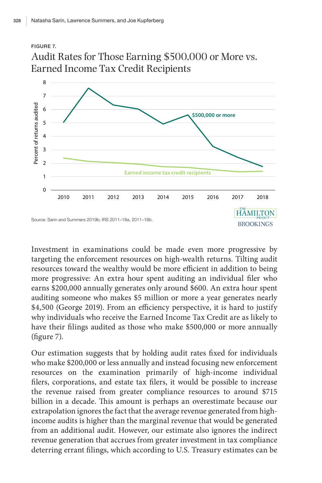### FIGURE 7. Audit Rates for Those Earning \$500,000 or More vs. Earned Income Tax Credit Recipients



Investment in examinations could be made even more progressive by targeting the enforcement resources on high-wealth returns. Tilting audit resources toward the wealthy would be more efficient in addition to being more progressive: An extra hour spent auditing an individual filer who earns \$200,000 annually generates only around \$600. An extra hour spent auditing someone who makes \$5 million or more a year generates nearly \$4,500 (George 2019). From an efficiency perspective, it is hard to justify why individuals who receive the Earned Income Tax Credit are as likely to have their filings audited as those who make \$500,000 or more annually (figure 7).

Our estimation suggests that by holding audit rates fixed for individuals who make \$200,000 or less annually and instead focusing new enforcement resources on the examination primarily of high-income individual filers, corporations, and estate tax filers, it would be possible to increase the revenue raised from greater compliance resources to around \$715 billion in a decade. This amount is perhaps an overestimate because our extrapolation ignores the fact that the average revenue generated from highincome audits is higher than the marginal revenue that would be generated from an additional audit. However, our estimate also ignores the indirect revenue generation that accrues from greater investment in tax compliance deterring errant filings, which according to U.S. Treasury estimates can be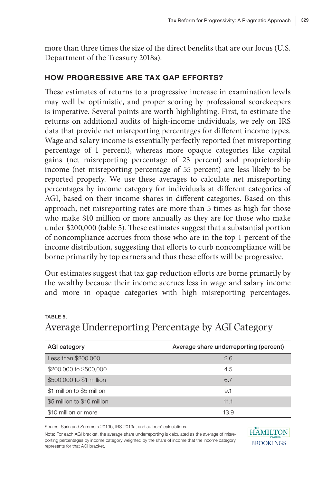more than three times the size of the direct benefits that are our focus (U.S. Department of the Treasury 2018a).

#### HOW PROGRESSIVE ARE TAX GAP EFFORTS?

These estimates of returns to a progressive increase in examination levels may well be optimistic, and proper scoring by professional scorekeepers is imperative. Several points are worth highlighting. First, to estimate the returns on additional audits of high-income individuals, we rely on IRS data that provide net misreporting percentages for different income types. Wage and salary income is essentially perfectly reported (net misreporting percentage of 1 percent), whereas more opaque categories like capital gains (net misreporting percentage of 23 percent) and proprietorship income (net misreporting percentage of 55 percent) are less likely to be reported properly. We use these averages to calculate net misreporting percentages by income category for individuals at different categories of AGI, based on their income shares in different categories. Based on this approach, net misreporting rates are more than 5 times as high for those who make \$10 million or more annually as they are for those who make under \$200,000 (table 5). These estimates suggest that a substantial portion of noncompliance accrues from those who are in the top 1 percent of the income distribution, suggesting that efforts to curb noncompliance will be borne primarily by top earners and thus these efforts will be progressive.

Our estimates suggest that tax gap reduction efforts are borne primarily by the wealthy because their income accrues less in wage and salary income and more in opaque categories with high misreporting percentages.

| <b>AGI category</b>         | Average share underreporting (percent) |
|-----------------------------|----------------------------------------|
| Less than \$200,000         | 2.6                                    |
| \$200,000 to \$500,000      | 4.5                                    |
| \$500,000 to \$1 million    | 6.7                                    |
| \$1 million to \$5 million  | 9.1                                    |
| \$5 million to \$10 million | 11.1                                   |
| \$10 million or more        | 13.9                                   |

**HÄMILTON BROOKINGS** 

#### TABLE 5. Average Underreporting Percentage by AGI Category

Source: Sarin and Summers 2019b, IRS 2019a, and authors' calculations.

Note: For each AGI bracket, the average share underreporting is calculated as the average of misreporting percentages by income category weighted by the share of income that the income category represents for that AGI bracket.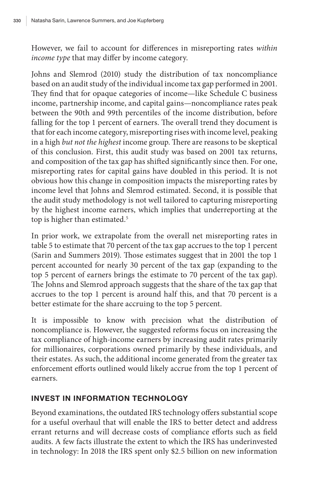However, we fail to account for differences in misreporting rates *within income type* that may differ by income category.

Johns and Slemrod (2010) study the distribution of tax noncompliance based on an audit study of the individual income tax gap performed in 2001. They find that for opaque categories of income—like Schedule C business income, partnership income, and capital gains—noncompliance rates peak between the 90th and 99th percentiles of the income distribution, before falling for the top 1 percent of earners. The overall trend they document is that for each income category, misreporting rises with income level, peaking in a high *but not the highest* income group. There are reasons to be skeptical of this conclusion. First, this audit study was based on 2001 tax returns, and composition of the tax gap has shifted significantly since then. For one, misreporting rates for capital gains have doubled in this period. It is not obvious how this change in composition impacts the misreporting rates by income level that Johns and Slemrod estimated. Second, it is possible that the audit study methodology is not well tailored to capturing misreporting by the highest income earners, which implies that underreporting at the top is higher than estimated.<sup>5</sup>

In prior work, we extrapolate from the overall net misreporting rates in table 5 to estimate that 70 percent of the tax gap accrues to the top 1 percent (Sarin and Summers 2019). Those estimates suggest that in 2001 the top 1 percent accounted for nearly 30 percent of the tax gap (expanding to the top 5 percent of earners brings the estimate to 70 percent of the tax gap). The Johns and Slemrod approach suggests that the share of the tax gap that accrues to the top 1 percent is around half this, and that 70 percent is a better estimate for the share accruing to the top 5 percent.

It is impossible to know with precision what the distribution of noncompliance is. However, the suggested reforms focus on increasing the tax compliance of high-income earners by increasing audit rates primarily for millionaires, corporations owned primarily by these individuals, and their estates. As such, the additional income generated from the greater tax enforcement efforts outlined would likely accrue from the top 1 percent of earners.

#### INVEST IN INFORMATION TECHNOLOGY

Beyond examinations, the outdated IRS technology offers substantial scope for a useful overhaul that will enable the IRS to better detect and address errant returns and will decrease costs of compliance efforts such as field audits. A few facts illustrate the extent to which the IRS has underinvested in technology: In 2018 the IRS spent only \$2.5 billion on new information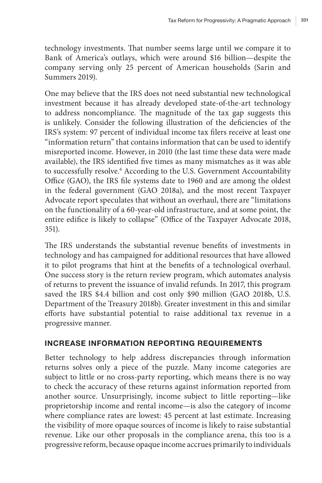technology investments. That number seems large until we compare it to Bank of America's outlays, which were around \$16 billion—despite the company serving only 25 percent of American households (Sarin and Summers 2019).

One may believe that the IRS does not need substantial new technological investment because it has already developed state-of-the-art technology to address noncompliance. The magnitude of the tax gap suggests this is unlikely. Consider the following illustration of the deficiencies of the IRS's system: 97 percent of individual income tax filers receive at least one "information return" that contains information that can be used to identify misreported income. However, in 2010 (the last time these data were made available), the IRS identified five times as many mismatches as it was able to successfully resolve.6 According to the U.S. Government Accountability Office (GAO), the IRS file systems date to 1960 and are among the oldest in the federal government (GAO 2018a), and the most recent Taxpayer Advocate report speculates that without an overhaul, there are "limitations on the functionality of a 60-year-old infrastructure, and at some point, the entire edifice is likely to collapse" (Office of the Taxpayer Advocate 2018, 351).

The IRS understands the substantial revenue benefits of investments in technology and has campaigned for additional resources that have allowed it to pilot programs that hint at the benefits of a technological overhaul. One success story is the return review program, which automates analysis of returns to prevent the issuance of invalid refunds. In 2017, this program saved the IRS \$4.4 billion and cost only \$90 million (GAO 2018b, U.S. Department of the Treasury 2018b). Greater investment in this and similar efforts have substantial potential to raise additional tax revenue in a progressive manner.

#### INCREASE INFORMATION REPORTING REQUIREMENTS

Better technology to help address discrepancies through information returns solves only a piece of the puzzle. Many income categories are subject to little or no cross-party reporting, which means there is no way to check the accuracy of these returns against information reported from another source. Unsurprisingly, income subject to little reporting—like proprietorship income and rental income—is also the category of income where compliance rates are lowest: 45 percent at last estimate. Increasing the visibility of more opaque sources of income is likely to raise substantial revenue. Like our other proposals in the compliance arena, this too is a progressive reform, because opaque income accrues primarily to individuals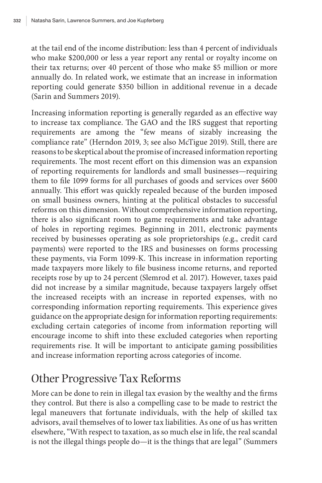at the tail end of the income distribution: less than 4 percent of individuals who make \$200,000 or less a year report any rental or royalty income on their tax returns; over 40 percent of those who make \$5 million or more annually do. In related work, we estimate that an increase in information reporting could generate \$350 billion in additional revenue in a decade (Sarin and Summers 2019).

Increasing information reporting is generally regarded as an effective way to increase tax compliance. The GAO and the IRS suggest that reporting requirements are among the "few means of sizably increasing the compliance rate" (Herndon 2019, 3; see also McTigue 2019). Still, there are reasons to be skeptical about the promise of increased information reporting requirements. The most recent effort on this dimension was an expansion of reporting requirements for landlords and small businesses—requiring them to file 1099 forms for all purchases of goods and services over \$600 annually. This effort was quickly repealed because of the burden imposed on small business owners, hinting at the political obstacles to successful reforms on this dimension. Without comprehensive information reporting, there is also significant room to game requirements and take advantage of holes in reporting regimes. Beginning in 2011, electronic payments received by businesses operating as sole proprietorships (e.g., credit card payments) were reported to the IRS and businesses on forms processing these payments, via Form 1099-K. This increase in information reporting made taxpayers more likely to file business income returns, and reported receipts rose by up to 24 percent (Slemrod et al. 2017). However, taxes paid did not increase by a similar magnitude, because taxpayers largely offset the increased receipts with an increase in reported expenses, with no corresponding information reporting requirements. This experience gives guidance on the appropriate design for information reporting requirements: excluding certain categories of income from information reporting will encourage income to shift into these excluded categories when reporting requirements rise. It will be important to anticipate gaming possibilities and increase information reporting across categories of income.

# Other Progressive Tax Reforms

More can be done to rein in illegal tax evasion by the wealthy and the firms they control. But there is also a compelling case to be made to restrict the legal maneuvers that fortunate individuals, with the help of skilled tax advisors, avail themselves of to lower tax liabilities. As one of us has written elsewhere, "With respect to taxation, as so much else in life, the real scandal is not the illegal things people do—it is the things that are legal" (Summers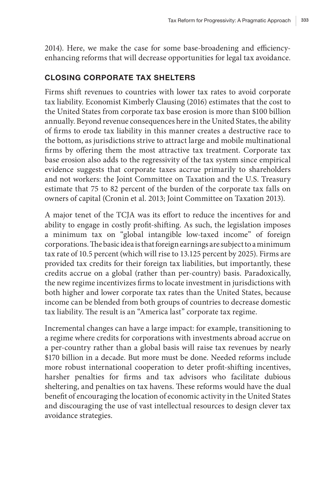2014). Here, we make the case for some base-broadening and efficiencyenhancing reforms that will decrease opportunities for legal tax avoidance.

#### CLOSING CORPORATE TAX SHELTERS

Firms shift revenues to countries with lower tax rates to avoid corporate tax liability. Economist Kimberly Clausing (2016) estimates that the cost to the United States from corporate tax base erosion is more than \$100 billion annually. Beyond revenue consequences here in the United States, the ability of firms to erode tax liability in this manner creates a destructive race to the bottom, as jurisdictions strive to attract large and mobile multinational firms by offering them the most attractive tax treatment. Corporate tax base erosion also adds to the regressivity of the tax system since empirical evidence suggests that corporate taxes accrue primarily to shareholders and not workers: the Joint Committee on Taxation and the U.S. Treasury estimate that 75 to 82 percent of the burden of the corporate tax falls on owners of capital (Cronin et al. 2013; Joint Committee on Taxation 2013).

A major tenet of the TCJA was its effort to reduce the incentives for and ability to engage in costly profit-shifting. As such, the legislation imposes a minimum tax on "global intangible low-taxed income" of foreign corporations. The basic idea is that foreign earnings are subject to a minimum tax rate of 10.5 percent (which will rise to 13.125 percent by 2025). Firms are provided tax credits for their foreign tax liabilities, but importantly, these credits accrue on a global (rather than per-country) basis. Paradoxically, the new regime incentivizes firms to locate investment in jurisdictions with both higher and lower corporate tax rates than the United States, because income can be blended from both groups of countries to decrease domestic tax liability. The result is an "America last" corporate tax regime.

Incremental changes can have a large impact: for example, transitioning to a regime where credits for corporations with investments abroad accrue on a per-country rather than a global basis will raise tax revenues by nearly \$170 billion in a decade. But more must be done. Needed reforms include more robust international cooperation to deter profit-shifting incentives, harsher penalties for firms and tax advisors who facilitate dubious sheltering, and penalties on tax havens. These reforms would have the dual benefit of encouraging the location of economic activity in the United States and discouraging the use of vast intellectual resources to design clever tax avoidance strategies.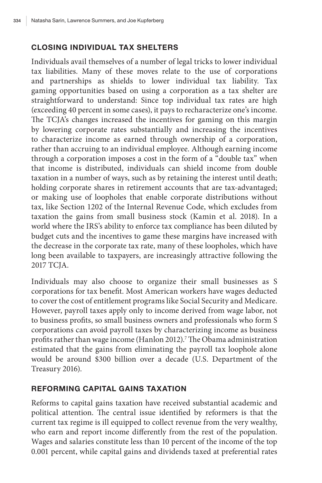#### CLOSING INDIVIDUAL TAX SHELTERS

Individuals avail themselves of a number of legal tricks to lower individual tax liabilities. Many of these moves relate to the use of corporations and partnerships as shields to lower individual tax liability. Tax gaming opportunities based on using a corporation as a tax shelter are straightforward to understand: Since top individual tax rates are high (exceeding 40 percent in some cases), it pays to recharacterize one's income. The TCJA's changes increased the incentives for gaming on this margin by lowering corporate rates substantially and increasing the incentives to characterize income as earned through ownership of a corporation, rather than accruing to an individual employee. Although earning income through a corporation imposes a cost in the form of a "double tax" when that income is distributed, individuals can shield income from double taxation in a number of ways, such as by retaining the interest until death; holding corporate shares in retirement accounts that are tax-advantaged; or making use of loopholes that enable corporate distributions without tax, like Section 1202 of the Internal Revenue Code, which excludes from taxation the gains from small business stock (Kamin et al. 2018). In a world where the IRS's ability to enforce tax compliance has been diluted by budget cuts and the incentives to game these margins have increased with the decrease in the corporate tax rate, many of these loopholes, which have long been available to taxpayers, are increasingly attractive following the 2017 TCJA.

Individuals may also choose to organize their small businesses as S corporations for tax benefit. Most American workers have wages deducted to cover the cost of entitlement programs like Social Security and Medicare. However, payroll taxes apply only to income derived from wage labor, not to business profits, so small business owners and professionals who form S corporations can avoid payroll taxes by characterizing income as business profits rather than wage income (Hanlon 2012).7 The Obama administration estimated that the gains from eliminating the payroll tax loophole alone would be around \$300 billion over a decade (U.S. Department of the Treasury 2016).

#### REFORMING CAPITAL GAINS TAXATION

Reforms to capital gains taxation have received substantial academic and political attention. The central issue identified by reformers is that the current tax regime is ill equipped to collect revenue from the very wealthy, who earn and report income differently from the rest of the population. Wages and salaries constitute less than 10 percent of the income of the top 0.001 percent, while capital gains and dividends taxed at preferential rates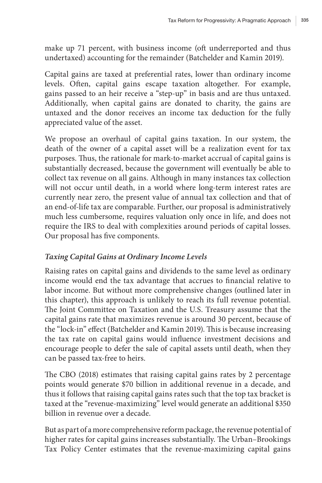make up 71 percent, with business income (oft underreported and thus undertaxed) accounting for the remainder (Batchelder and Kamin 2019).

Capital gains are taxed at preferential rates, lower than ordinary income levels. Often, capital gains escape taxation altogether. For example, gains passed to an heir receive a "step-up" in basis and are thus untaxed. Additionally, when capital gains are donated to charity, the gains are untaxed and the donor receives an income tax deduction for the fully appreciated value of the asset.

We propose an overhaul of capital gains taxation. In our system, the death of the owner of a capital asset will be a realization event for tax purposes. Thus, the rationale for mark-to-market accrual of capital gains is substantially decreased, because the government will eventually be able to collect tax revenue on all gains. Although in many instances tax collection will not occur until death, in a world where long-term interest rates are currently near zero, the present value of annual tax collection and that of an end-of-life tax are comparable. Further, our proposal is administratively much less cumbersome, requires valuation only once in life, and does not require the IRS to deal with complexities around periods of capital losses. Our proposal has five components.

#### *Taxing Capital Gains at Ordinary Income Levels*

Raising rates on capital gains and dividends to the same level as ordinary income would end the tax advantage that accrues to financial relative to labor income. But without more comprehensive changes (outlined later in this chapter), this approach is unlikely to reach its full revenue potential. The Joint Committee on Taxation and the U.S. Treasury assume that the capital gains rate that maximizes revenue is around 30 percent, because of the "lock-in" effect (Batchelder and Kamin 2019). This is because increasing the tax rate on capital gains would influence investment decisions and encourage people to defer the sale of capital assets until death, when they can be passed tax-free to heirs.

The CBO (2018) estimates that raising capital gains rates by 2 percentage points would generate \$70 billion in additional revenue in a decade, and thus it follows that raising capital gains rates such that the top tax bracket is taxed at the "revenue-maximizing" level would generate an additional \$350 billion in revenue over a decade.

But as part of a more comprehensive reform package, the revenue potential of higher rates for capital gains increases substantially. The Urban–Brookings Tax Policy Center estimates that the revenue-maximizing capital gains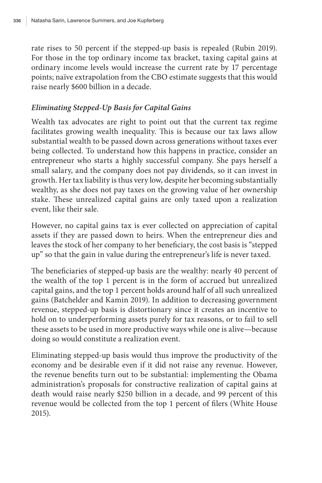rate rises to 50 percent if the stepped-up basis is repealed (Rubin 2019). For those in the top ordinary income tax bracket, taxing capital gains at ordinary income levels would increase the current rate by 17 percentage points; naïve extrapolation from the CBO estimate suggests that this would raise nearly \$600 billion in a decade.

#### *Eliminating Stepped-Up Basis for Capital Gains*

Wealth tax advocates are right to point out that the current tax regime facilitates growing wealth inequality. This is because our tax laws allow substantial wealth to be passed down across generations without taxes ever being collected. To understand how this happens in practice, consider an entrepreneur who starts a highly successful company. She pays herself a small salary, and the company does not pay dividends, so it can invest in growth. Her tax liability is thus very low, despite her becoming substantially wealthy, as she does not pay taxes on the growing value of her ownership stake. These unrealized capital gains are only taxed upon a realization event, like their sale.

However, no capital gains tax is ever collected on appreciation of capital assets if they are passed down to heirs. When the entrepreneur dies and leaves the stock of her company to her beneficiary, the cost basis is "stepped up" so that the gain in value during the entrepreneur's life is never taxed.

The beneficiaries of stepped-up basis are the wealthy: nearly 40 percent of the wealth of the top 1 percent is in the form of accrued but unrealized capital gains, and the top 1 percent holds around half of all such unrealized gains (Batchelder and Kamin 2019). In addition to decreasing government revenue, stepped-up basis is distortionary since it creates an incentive to hold on to underperforming assets purely for tax reasons, or to fail to sell these assets to be used in more productive ways while one is alive—because doing so would constitute a realization event.

Eliminating stepped-up basis would thus improve the productivity of the economy and be desirable even if it did not raise any revenue. However, the revenue benefits turn out to be substantial: implementing the Obama administration's proposals for constructive realization of capital gains at death would raise nearly \$250 billion in a decade, and 99 percent of this revenue would be collected from the top 1 percent of filers (White House 2015).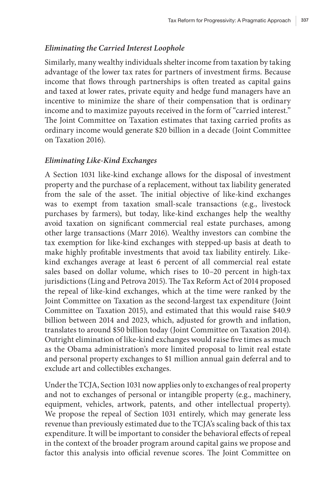#### *Eliminating the Carried Interest Loophole*

Similarly, many wealthy individuals shelter income from taxation by taking advantage of the lower tax rates for partners of investment firms. Because income that flows through partnerships is often treated as capital gains and taxed at lower rates, private equity and hedge fund managers have an incentive to minimize the share of their compensation that is ordinary income and to maximize payouts received in the form of "carried interest." The Joint Committee on Taxation estimates that taxing carried profits as ordinary income would generate \$20 billion in a decade (Joint Committee on Taxation 2016).

#### *Eliminating Like-Kind Exchanges*

A Section 1031 like-kind exchange allows for the disposal of investment property and the purchase of a replacement, without tax liability generated from the sale of the asset. The initial objective of like-kind exchanges was to exempt from taxation small-scale transactions (e.g., livestock purchases by farmers), but today, like-kind exchanges help the wealthy avoid taxation on significant commercial real estate purchases, among other large transactions (Marr 2016). Wealthy investors can combine the tax exemption for like-kind exchanges with stepped-up basis at death to make highly profitable investments that avoid tax liability entirely. Likekind exchanges average at least 6 percent of all commercial real estate sales based on dollar volume, which rises to 10–20 percent in high-tax jurisdictions (Ling and Petrova 2015). The Tax Reform Act of 2014 proposed the repeal of like-kind exchanges, which at the time were ranked by the Joint Committee on Taxation as the second-largest tax expenditure (Joint Committee on Taxation 2015), and estimated that this would raise \$40.9 billion between 2014 and 2023, which, adjusted for growth and inflation, translates to around \$50 billion today (Joint Committee on Taxation 2014). Outright elimination of like-kind exchanges would raise five times as much as the Obama administration's more limited proposal to limit real estate and personal property exchanges to \$1 million annual gain deferral and to exclude art and collectibles exchanges.

Under the TCJA, Section 1031 now applies only to exchanges of real property and not to exchanges of personal or intangible property (e.g., machinery, equipment, vehicles, artwork, patents, and other intellectual property). We propose the repeal of Section 1031 entirely, which may generate less revenue than previously estimated due to the TCJA's scaling back of this tax expenditure. It will be important to consider the behavioral effects of repeal in the context of the broader program around capital gains we propose and factor this analysis into official revenue scores. The Joint Committee on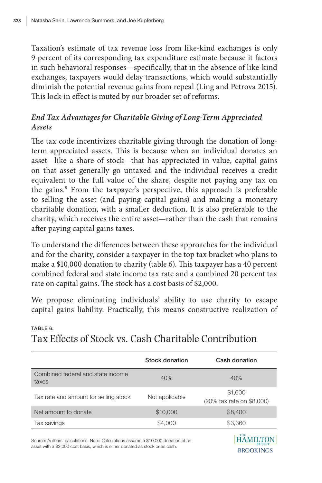Taxation's estimate of tax revenue loss from like-kind exchanges is only 9 percent of its corresponding tax expenditure estimate because it factors in such behavioral responses—specifically, that in the absence of like-kind exchanges, taxpayers would delay transactions, which would substantially diminish the potential revenue gains from repeal (Ling and Petrova 2015). This lock-in effect is muted by our broader set of reforms.

#### *End Tax Advantages for Charitable Giving of Long-Term Appreciated Assets*

The tax code incentivizes charitable giving through the donation of longterm appreciated assets. This is because when an individual donates an asset—like a share of stock—that has appreciated in value, capital gains on that asset generally go untaxed and the individual receives a credit equivalent to the full value of the share, despite not paying any tax on the gains.<sup>8</sup> From the taxpayer's perspective, this approach is preferable to selling the asset (and paying capital gains) and making a monetary charitable donation, with a smaller deduction. It is also preferable to the charity, which receives the entire asset—rather than the cash that remains after paying capital gains taxes.

To understand the differences between these approaches for the individual and for the charity, consider a taxpayer in the top tax bracket who plans to make a \$10,000 donation to charity (table 6). This taxpayer has a 40 percent combined federal and state income tax rate and a combined 20 percent tax rate on capital gains. The stock has a cost basis of \$2,000.

We propose eliminating individuals' ability to use charity to escape capital gains liability. Practically, this means constructive realization of

|                                            | Stock donation | Cash donation                        |
|--------------------------------------------|----------------|--------------------------------------|
| Combined federal and state income<br>taxes | 40%            | 40%                                  |
| Tax rate and amount for selling stock      | Not applicable | \$1,600<br>(20% tax rate on \$8,000) |
| Net amount to donate                       | \$10,000       | \$8,400                              |
| Tax savings                                | \$4,000        | \$3,360                              |
|                                            |                | <b>LLA MIT TOM</b>                   |

#### TABLE 6.

Tax Effects of Stock vs. Cash Charitable Contribution

Source: Authors' calculations. Note: Calculations assume a \$10,000 donation of an asset with a \$2,000 cost basis, which is either donated as stock or as cash.

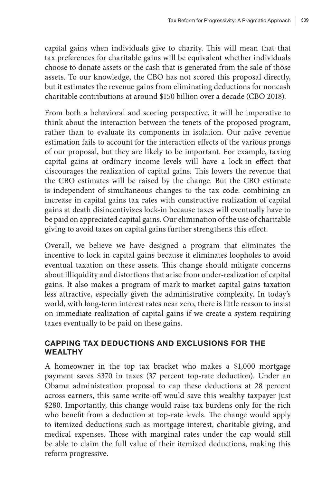capital gains when individuals give to charity. This will mean that that tax preferences for charitable gains will be equivalent whether individuals choose to donate assets or the cash that is generated from the sale of those assets. To our knowledge, the CBO has not scored this proposal directly, but it estimates the revenue gains from eliminating deductions for noncash charitable contributions at around \$150 billion over a decade (CBO 2018).

From both a behavioral and scoring perspective, it will be imperative to think about the interaction between the tenets of the proposed program, rather than to evaluate its components in isolation. Our naïve revenue estimation fails to account for the interaction effects of the various prongs of our proposal, but they are likely to be important. For example, taxing capital gains at ordinary income levels will have a lock-in effect that discourages the realization of capital gains. This lowers the revenue that the CBO estimates will be raised by the change. But the CBO estimate is independent of simultaneous changes to the tax code: combining an increase in capital gains tax rates with constructive realization of capital gains at death disincentivizes lock-in because taxes will eventually have to be paid on appreciated capital gains. Our elimination of the use of charitable giving to avoid taxes on capital gains further strengthens this effect.

Overall, we believe we have designed a program that eliminates the incentive to lock in capital gains because it eliminates loopholes to avoid eventual taxation on these assets. This change should mitigate concerns about illiquidity and distortions that arise from under-realization of capital gains. It also makes a program of mark-to-market capital gains taxation less attractive, especially given the administrative complexity. In today's world, with long-term interest rates near zero, there is little reason to insist on immediate realization of capital gains if we create a system requiring taxes eventually to be paid on these gains.

#### CAPPING TAX DEDUCTIONS AND EXCLUSIONS FOR THE **WEALTHY**

A homeowner in the top tax bracket who makes a \$1,000 mortgage payment saves \$370 in taxes (37 percent top-rate deduction). Under an Obama administration proposal to cap these deductions at 28 percent across earners, this same write-off would save this wealthy taxpayer just \$280. Importantly, this change would raise tax burdens only for the rich who benefit from a deduction at top-rate levels. The change would apply to itemized deductions such as mortgage interest, charitable giving, and medical expenses. Those with marginal rates under the cap would still be able to claim the full value of their itemized deductions, making this reform progressive.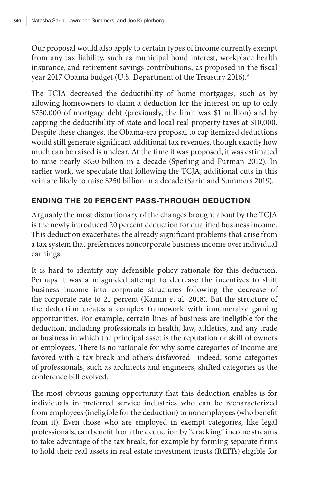Our proposal would also apply to certain types of income currently exempt from any tax liability, such as municipal bond interest, workplace health insurance, and retirement savings contributions, as proposed in the fiscal year 2017 Obama budget (U.S. Department of the Treasury 2016).9

The TCJA decreased the deductibility of home mortgages, such as by allowing homeowners to claim a deduction for the interest on up to only \$750,000 of mortgage debt (previously, the limit was \$1 million) and by capping the deductibility of state and local real property taxes at \$10,000. Despite these changes, the Obama-era proposal to cap itemized deductions would still generate significant additional tax revenues, though exactly how much can be raised is unclear. At the time it was proposed, it was estimated to raise nearly \$650 billion in a decade (Sperling and Furman 2012). In earlier work, we speculate that following the TCJA, additional cuts in this vein are likely to raise \$250 billion in a decade (Sarin and Summers 2019).

#### ENDING THE 20 PERCENT PASS-THROUGH DEDUCTION

Arguably the most distortionary of the changes brought about by the TCJA is the newly introduced 20 percent deduction for qualified business income. This deduction exacerbates the already significant problems that arise from a tax system that preferences noncorporate business income over individual earnings.

It is hard to identify any defensible policy rationale for this deduction. Perhaps it was a misguided attempt to decrease the incentives to shift business income into corporate structures following the decrease of the corporate rate to 21 percent (Kamin et al. 2018). But the structure of the deduction creates a complex framework with innumerable gaming opportunities. For example, certain lines of business are ineligible for the deduction, including professionals in health, law, athletics, and any trade or business in which the principal asset is the reputation or skill of owners or employees. There is no rationale for why some categories of income are favored with a tax break and others disfavored—indeed, some categories of professionals, such as architects and engineers, shifted categories as the conference bill evolved.

The most obvious gaming opportunity that this deduction enables is for individuals in preferred service industries who can be recharacterized from employees (ineligible for the deduction) to nonemployees (who benefit from it). Even those who are employed in exempt categories, like legal professionals, can benefit from the deduction by "cracking" income streams to take advantage of the tax break, for example by forming separate firms to hold their real assets in real estate investment trusts (REITs) eligible for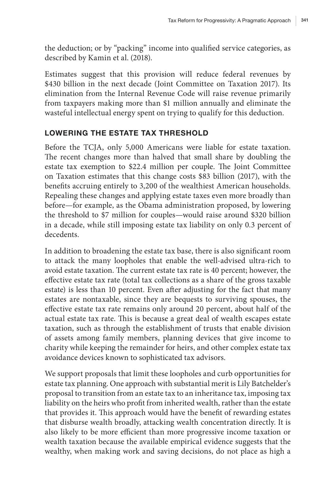the deduction; or by "packing" income into qualified service categories, as described by Kamin et al. (2018).

Estimates suggest that this provision will reduce federal revenues by \$430 billion in the next decade (Joint Committee on Taxation 2017). Its elimination from the Internal Revenue Code will raise revenue primarily from taxpayers making more than \$1 million annually and eliminate the wasteful intellectual energy spent on trying to qualify for this deduction.

#### LOWERING THE ESTATE TAX THRESHOLD

Before the TCJA, only 5,000 Americans were liable for estate taxation. The recent changes more than halved that small share by doubling the estate tax exemption to \$22.4 million per couple. The Joint Committee on Taxation estimates that this change costs \$83 billion (2017), with the benefits accruing entirely to 3,200 of the wealthiest American households. Repealing these changes and applying estate taxes even more broadly than before—for example, as the Obama administration proposed, by lowering the threshold to \$7 million for couples—would raise around \$320 billion in a decade, while still imposing estate tax liability on only 0.3 percent of decedents.

In addition to broadening the estate tax base, there is also significant room to attack the many loopholes that enable the well-advised ultra-rich to avoid estate taxation. The current estate tax rate is 40 percent; however, the effective estate tax rate (total tax collections as a share of the gross taxable estate) is less than 10 percent. Even after adjusting for the fact that many estates are nontaxable, since they are bequests to surviving spouses, the effective estate tax rate remains only around 20 percent, about half of the actual estate tax rate. This is because a great deal of wealth escapes estate taxation, such as through the establishment of trusts that enable division of assets among family members, planning devices that give income to charity while keeping the remainder for heirs, and other complex estate tax avoidance devices known to sophisticated tax advisors.

We support proposals that limit these loopholes and curb opportunities for estate tax planning. One approach with substantial merit is Lily Batchelder's proposal to transition from an estate tax to an inheritance tax, imposing tax liability on the heirs who profit from inherited wealth, rather than the estate that provides it. This approach would have the benefit of rewarding estates that disburse wealth broadly, attacking wealth concentration directly. It is also likely to be more efficient than more progressive income taxation or wealth taxation because the available empirical evidence suggests that the wealthy, when making work and saving decisions, do not place as high a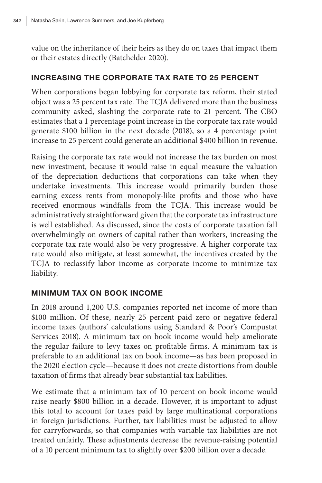value on the inheritance of their heirs as they do on taxes that impact them or their estates directly (Batchelder 2020).

#### INCREASING THE CORPORATE TAX RATE TO 25 PERCENT

When corporations began lobbying for corporate tax reform, their stated object was a 25 percent tax rate. The TCJA delivered more than the business community asked, slashing the corporate rate to 21 percent. The CBO estimates that a 1 percentage point increase in the corporate tax rate would generate \$100 billion in the next decade (2018), so a 4 percentage point increase to 25 percent could generate an additional \$400 billion in revenue.

Raising the corporate tax rate would not increase the tax burden on most new investment, because it would raise in equal measure the valuation of the depreciation deductions that corporations can take when they undertake investments. This increase would primarily burden those earning excess rents from monopoly-like profits and those who have received enormous windfalls from the TCJA. This increase would be administratively straightforward given that the corporate tax infrastructure is well established. As discussed, since the costs of corporate taxation fall overwhelmingly on owners of capital rather than workers, increasing the corporate tax rate would also be very progressive. A higher corporate tax rate would also mitigate, at least somewhat, the incentives created by the TCJA to reclassify labor income as corporate income to minimize tax liability.

#### MINIMUM TAX ON BOOK INCOME

In 2018 around 1,200 U.S. companies reported net income of more than \$100 million. Of these, nearly 25 percent paid zero or negative federal income taxes (authors' calculations using Standard & Poor's Compustat Services 2018). A minimum tax on book income would help ameliorate the regular failure to levy taxes on profitable firms. A minimum tax is preferable to an additional tax on book income—as has been proposed in the 2020 election cycle—because it does not create distortions from double taxation of firms that already bear substantial tax liabilities.

We estimate that a minimum tax of 10 percent on book income would raise nearly \$800 billion in a decade. However, it is important to adjust this total to account for taxes paid by large multinational corporations in foreign jurisdictions. Further, tax liabilities must be adjusted to allow for carryforwards, so that companies with variable tax liabilities are not treated unfairly. These adjustments decrease the revenue-raising potential of a 10 percent minimum tax to slightly over \$200 billion over a decade.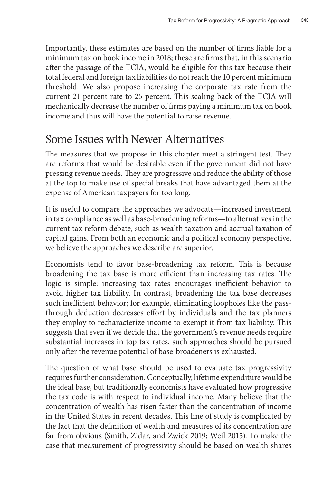Importantly, these estimates are based on the number of firms liable for a minimum tax on book income in 2018; these are firms that, in this scenario after the passage of the TCJA, would be eligible for this tax because their total federal and foreign tax liabilities do not reach the 10 percent minimum threshold. We also propose increasing the corporate tax rate from the current 21 percent rate to 25 percent. This scaling back of the TCJA will mechanically decrease the number of firms paying a minimum tax on book income and thus will have the potential to raise revenue.

### Some Issues with Newer Alternatives

The measures that we propose in this chapter meet a stringent test. They are reforms that would be desirable even if the government did not have pressing revenue needs. They are progressive and reduce the ability of those at the top to make use of special breaks that have advantaged them at the expense of American taxpayers for too long.

It is useful to compare the approaches we advocate—increased investment in tax compliance as well as base-broadening reforms—to alternatives in the current tax reform debate, such as wealth taxation and accrual taxation of capital gains. From both an economic and a political economy perspective, we believe the approaches we describe are superior.

Economists tend to favor base-broadening tax reform. This is because broadening the tax base is more efficient than increasing tax rates. The logic is simple: increasing tax rates encourages inefficient behavior to avoid higher tax liability. In contrast, broadening the tax base decreases such inefficient behavior; for example, eliminating loopholes like the passthrough deduction decreases effort by individuals and the tax planners they employ to recharacterize income to exempt it from tax liability. This suggests that even if we decide that the government's revenue needs require substantial increases in top tax rates, such approaches should be pursued only after the revenue potential of base-broadeners is exhausted.

The question of what base should be used to evaluate tax progressivity requires further consideration. Conceptually, lifetime expenditure would be the ideal base, but traditionally economists have evaluated how progressive the tax code is with respect to individual income. Many believe that the concentration of wealth has risen faster than the concentration of income in the United States in recent decades. This line of study is complicated by the fact that the definition of wealth and measures of its concentration are far from obvious (Smith, Zidar, and Zwick 2019; Weil 2015). To make the case that measurement of progressivity should be based on wealth shares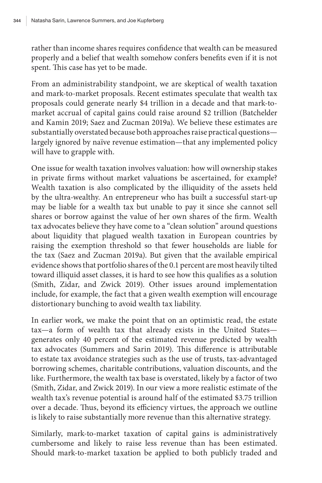rather than income shares requires confidence that wealth can be measured properly and a belief that wealth somehow confers benefits even if it is not spent. This case has yet to be made.

From an administrability standpoint, we are skeptical of wealth taxation and mark-to-market proposals. Recent estimates speculate that wealth tax proposals could generate nearly \$4 trillion in a decade and that mark-tomarket accrual of capital gains could raise around \$2 trillion (Batchelder and Kamin 2019; Saez and Zucman 2019a). We believe these estimates are substantially overstated because both approaches raise practical questions largely ignored by naïve revenue estimation—that any implemented policy will have to grapple with.

One issue for wealth taxation involves valuation: how will ownership stakes in private firms without market valuations be ascertained, for example? Wealth taxation is also complicated by the illiquidity of the assets held by the ultra-wealthy. An entrepreneur who has built a successful start-up may be liable for a wealth tax but unable to pay it since she cannot sell shares or borrow against the value of her own shares of the firm. Wealth tax advocates believe they have come to a "clean solution" around questions about liquidity that plagued wealth taxation in European countries by raising the exemption threshold so that fewer households are liable for the tax (Saez and Zucman 2019a). But given that the available empirical evidence shows that portfolio shares of the 0.1 percent are most heavily tilted toward illiquid asset classes, it is hard to see how this qualifies as a solution (Smith, Zidar, and Zwick 2019). Other issues around implementation include, for example, the fact that a given wealth exemption will encourage distortionary bunching to avoid wealth tax liability.

In earlier work, we make the point that on an optimistic read, the estate tax—a form of wealth tax that already exists in the United States generates only 40 percent of the estimated revenue predicted by wealth tax advocates (Summers and Sarin 2019). This difference is attributable to estate tax avoidance strategies such as the use of trusts, tax-advantaged borrowing schemes, charitable contributions, valuation discounts, and the like. Furthermore, the wealth tax base is overstated, likely by a factor of two (Smith, Zidar, and Zwick 2019). In our view a more realistic estimate of the wealth tax's revenue potential is around half of the estimated \$3.75 trillion over a decade. Thus, beyond its efficiency virtues, the approach we outline is likely to raise substantially more revenue than this alternative strategy.

Similarly, mark-to-market taxation of capital gains is administratively cumbersome and likely to raise less revenue than has been estimated. Should mark-to-market taxation be applied to both publicly traded and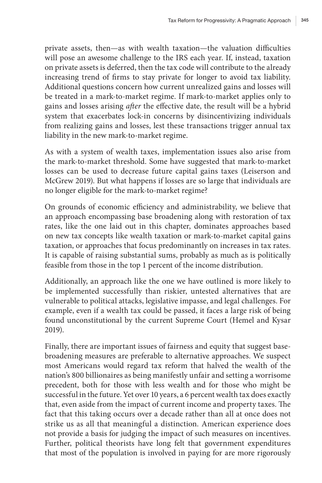private assets, then—as with wealth taxation—the valuation difficulties will pose an awesome challenge to the IRS each year. If, instead, taxation on private assets is deferred, then the tax code will contribute to the already increasing trend of firms to stay private for longer to avoid tax liability. Additional questions concern how current unrealized gains and losses will be treated in a mark-to-market regime. If mark-to-market applies only to gains and losses arising *after* the effective date, the result will be a hybrid system that exacerbates lock-in concerns by disincentivizing individuals from realizing gains and losses, lest these transactions trigger annual tax liability in the new mark-to-market regime.

As with a system of wealth taxes, implementation issues also arise from the mark-to-market threshold. Some have suggested that mark-to-market losses can be used to decrease future capital gains taxes (Leiserson and McGrew 2019). But what happens if losses are so large that individuals are no longer eligible for the mark-to-market regime?

On grounds of economic efficiency and administrability, we believe that an approach encompassing base broadening along with restoration of tax rates, like the one laid out in this chapter, dominates approaches based on new tax concepts like wealth taxation or mark-to-market capital gains taxation, or approaches that focus predominantly on increases in tax rates. It is capable of raising substantial sums, probably as much as is politically feasible from those in the top 1 percent of the income distribution.

Additionally, an approach like the one we have outlined is more likely to be implemented successfully than riskier, untested alternatives that are vulnerable to political attacks, legislative impasse, and legal challenges. For example, even if a wealth tax could be passed, it faces a large risk of being found unconstitutional by the current Supreme Court (Hemel and Kysar 2019).

Finally, there are important issues of fairness and equity that suggest basebroadening measures are preferable to alternative approaches. We suspect most Americans would regard tax reform that halved the wealth of the nation's 800 billionaires as being manifestly unfair and setting a worrisome precedent, both for those with less wealth and for those who might be successful in the future. Yet over 10 years, a 6 percent wealth tax does exactly that, even aside from the impact of current income and property taxes. The fact that this taking occurs over a decade rather than all at once does not strike us as all that meaningful a distinction. American experience does not provide a basis for judging the impact of such measures on incentives. Further, political theorists have long felt that government expenditures that most of the population is involved in paying for are more rigorously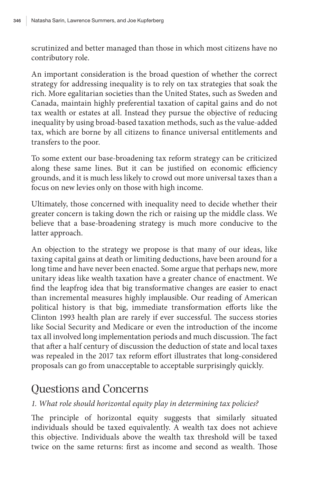scrutinized and better managed than those in which most citizens have no contributory role.

An important consideration is the broad question of whether the correct strategy for addressing inequality is to rely on tax strategies that soak the rich. More egalitarian societies than the United States, such as Sweden and Canada, maintain highly preferential taxation of capital gains and do not tax wealth or estates at all. Instead they pursue the objective of reducing inequality by using broad-based taxation methods, such as the value-added tax, which are borne by all citizens to finance universal entitlements and transfers to the poor.

To some extent our base-broadening tax reform strategy can be criticized along these same lines. But it can be justified on economic efficiency grounds, and it is much less likely to crowd out more universal taxes than a focus on new levies only on those with high income.

Ultimately, those concerned with inequality need to decide whether their greater concern is taking down the rich or raising up the middle class. We believe that a base-broadening strategy is much more conducive to the latter approach.

An objection to the strategy we propose is that many of our ideas, like taxing capital gains at death or limiting deductions, have been around for a long time and have never been enacted. Some argue that perhaps new, more unitary ideas like wealth taxation have a greater chance of enactment. We find the leapfrog idea that big transformative changes are easier to enact than incremental measures highly implausible. Our reading of American political history is that big, immediate transformation efforts like the Clinton 1993 health plan are rarely if ever successful. The success stories like Social Security and Medicare or even the introduction of the income tax all involved long implementation periods and much discussion. The fact that after a half century of discussion the deduction of state and local taxes was repealed in the 2017 tax reform effort illustrates that long-considered proposals can go from unacceptable to acceptable surprisingly quickly.

# Questions and Concerns

#### *1. What role should horizontal equity play in determining tax policies?*

The principle of horizontal equity suggests that similarly situated individuals should be taxed equivalently. A wealth tax does not achieve this objective. Individuals above the wealth tax threshold will be taxed twice on the same returns: first as income and second as wealth. Those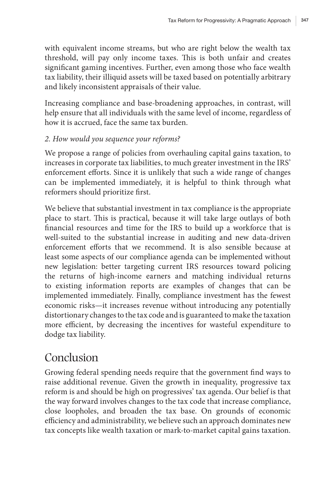with equivalent income streams, but who are right below the wealth tax threshold, will pay only income taxes. This is both unfair and creates significant gaming incentives. Further, even among those who face wealth tax liability, their illiquid assets will be taxed based on potentially arbitrary and likely inconsistent appraisals of their value.

Increasing compliance and base-broadening approaches, in contrast, will help ensure that all individuals with the same level of income, regardless of how it is accrued, face the same tax burden.

#### *2. How would you sequence your reforms?*

We propose a range of policies from overhauling capital gains taxation, to increases in corporate tax liabilities, to much greater investment in the IRS' enforcement efforts. Since it is unlikely that such a wide range of changes can be implemented immediately, it is helpful to think through what reformers should prioritize first.

We believe that substantial investment in tax compliance is the appropriate place to start. This is practical, because it will take large outlays of both financial resources and time for the IRS to build up a workforce that is well-suited to the substantial increase in auditing and new data-driven enforcement efforts that we recommend. It is also sensible because at least some aspects of our compliance agenda can be implemented without new legislation: better targeting current IRS resources toward policing the returns of high-income earners and matching individual returns to existing information reports are examples of changes that can be implemented immediately. Finally, compliance investment has the fewest economic risks—it increases revenue without introducing any potentially distortionary changes to the tax code and is guaranteed to make the taxation more efficient, by decreasing the incentives for wasteful expenditure to dodge tax liability.

# Conclusion

Growing federal spending needs require that the government find ways to raise additional revenue. Given the growth in inequality, progressive tax reform is and should be high on progressives' tax agenda. Our belief is that the way forward involves changes to the tax code that increase compliance, close loopholes, and broaden the tax base. On grounds of economic efficiency and administrability, we believe such an approach dominates new tax concepts like wealth taxation or mark-to-market capital gains taxation.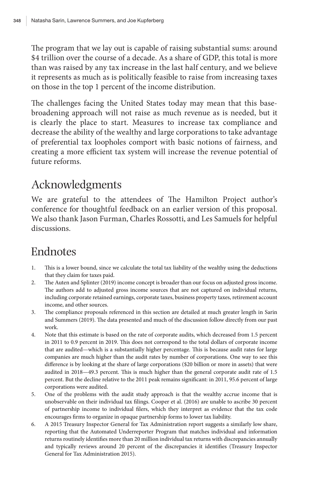The program that we lay out is capable of raising substantial sums: around \$4 trillion over the course of a decade. As a share of GDP, this total is more than was raised by any tax increase in the last half century, and we believe it represents as much as is politically feasible to raise from increasing taxes on those in the top 1 percent of the income distribution.

The challenges facing the United States today may mean that this basebroadening approach will not raise as much revenue as is needed, but it is clearly the place to start. Measures to increase tax compliance and decrease the ability of the wealthy and large corporations to take advantage of preferential tax loopholes comport with basic notions of fairness, and creating a more efficient tax system will increase the revenue potential of future reforms.

# Acknowledgments

We are grateful to the attendees of The Hamilton Project author's conference for thoughtful feedback on an earlier version of this proposal. We also thank Jason Furman, Charles Rossotti, and Les Samuels for helpful discussions.

# Endnotes

- 1. This is a lower bound, since we calculate the total tax liability of the wealthy using the deductions that they claim for taxes paid.
- 2. The Auten and Splinter (2019) income concept is broader than our focus on adjusted gross income. The authors add to adjusted gross income sources that are not captured on individual returns, including corporate retained earnings, corporate taxes, business property taxes, retirement account income, and other sources.
- 3. The compliance proposals referenced in this section are detailed at much greater length in Sarin and Summers (2019). The data presented and much of the discussion follow directly from our past work.
- 4. Note that this estimate is based on the rate of corporate audits, which decreased from 1.5 percent in 2011 to 0.9 percent in 2019. This does not correspond to the total dollars of corporate income that are audited—which is a substantially higher percentage. This is because audit rates for large companies are much higher than the audit rates by number of corporations. One way to see this difference is by looking at the share of large corporations (\$20 billion or more in assets) that were audited in 2018—49.3 percent. This is much higher than the general corporate audit rate of 1.5 percent. But the decline relative to the 2011 peak remains significant: in 2011, 95.6 percent of large corporations were audited.
- 5. One of the problems with the audit study approach is that the wealthy accrue income that is unobservable on their individual tax filings. Cooper et al. (2016) are unable to ascribe 30 percent of partnership income to individual filers, which they interpret as evidence that the tax code encourages firms to organize in opaque partnership forms to lower tax liability.
- 6. A 2015 Treasury Inspector General for Tax Administration report suggests a similarly low share, reporting that the Automated Underreporter Program that matches individual and information returns routinely identifies more than 20 million individual tax returns with discrepancies annually and typically reviews around 20 percent of the discrepancies it identifies (Treasury Inspector General for Tax Administration 2015).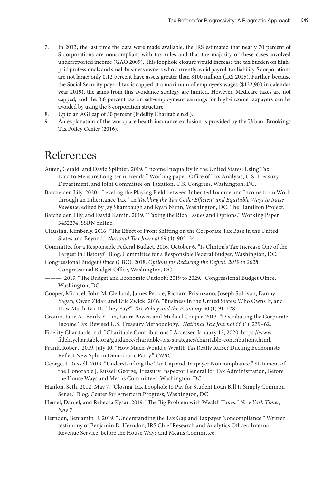- 7. In 2013, the last time the data were made available, the IRS estimated that nearly 70 percent of S corporations are noncompliant with tax rules and that the majority of these cases involved underreported income (GAO 2009). This loophole closure would increase the tax burden on highpaid professionals and small business owners who currently avoid payroll tax liability. S corporations are not large: only 0.12 percent have assets greater than \$100 million (IRS 2015). Further, because the Social Security payroll tax is capped at a maximum of employee's wages (\$132,900 in calendar year 2019), the gains from this avoidance strategy are limited. However, Medicare taxes are not capped, and the 3.8 percent tax on self-employment earnings for high-income taxpayers can be avoided by using the S corporation structure.
- 8. Up to an AGI cap of 30 percent (Fidelity Charitable n.d.).
- 9. An explanation of the workplace health insurance exclusion is provided by the Urban–Brookings Tax Policy Center (2016).

### References

- Auten, Gerald, and David Splinter. 2019. "Income Inequality in the United States: Using Tax Data to Measure Long-term Trends." Working paper, Office of Tax Analysis, U.S. Treasury Department, and Joint Committee on Taxation, U.S. Congress, Washington, DC.
- Batchelder, Lily. 2020. "Leveling the Playing Field between Inherited Income and Income from Work through an Inheritance Tax." In *Tackling the Tax Code: Efficient and Equitable Ways to Raise Revenue,* edited by Jay Shambaugh and Ryan Nunn, Washington, DC: The Hamilton Project.
- Batchelder, Lily, and David Kamin. 2019. "Taxing the Rich: Issues and Options." Working Paper 3452274, SSRN online.
- Clausing, Kimberly. 2016. "The Effect of Profit Shifting on the Corporate Tax Base in the United States and Beyond." *National Tax Journal* 69 (4): 905–34.
- Committee for a Responsible Federal Budget. 2016, October 6. "Is Clinton's Tax Increase One of the Largest in History?" Blog. Committee for a Responsible Federal Budget, Washington, DC.
- Congressional Budget Office (CBO). 2018. *Options for Reducing the Deficit: 2019 to 2028*. Congressional Budget Office, Washington, DC.
- ———. 2019. "The Budget and Economic Outlook: 2019 to 2029." Congressional Budget Office, Washington, DC.
- Cooper, Michael, John McClelland, James Pearce, Richard Prisinzano, Joseph Sullivan, Danny Yagan, Owen Zidar, and Eric Zwick. 2016. "Business in the United States: Who Owns It, and How Much Tax Do They Pay?" *Tax Policy and the Economy* 30 (1) 91–128.
- Cronin, Julie A., Emily Y. Lin, Laura Power, and Michael Cooper*.* 2013. "Distributing the Corporate Income Tax: Revised U.S. Treasury Methodology." *National Tax Journal* 66 (1): 239–62.
- Fidelity Charitable. n.d. "Charitable Contributions." Accessed January 12, 2020. https://www. fidelitycharitable.org/guidance/charitable-tax-strategies/charitable-contributions.html.
- Frank, Robert. 2019, July 10. "How Much Would a Wealth Tas Really Raise? Dueling Economists Reflect New Split in Democratic Party." *CNBC*.
- George, J. Russell. 2019. "Understanding the Tax Gap and Taxpayer Noncompliance." Statement of the Honorable J. Russell George, Treasury Inspector General for Tax Administration, Before the House Ways and Means Committee." Washington, DC
- Hanlon, Seth. 2012, May 7. "Closing Tax Loophole to Pay for Student Loan Bill Is Simply Common Sense." Blog. Center for American Progress, Washington, DC.
- Hemel, Daniel, and Rebecca Kysar. 2019. "The Big Problem with Wealth Taxes." *New York Times, Nov 7.*
- Herndon, Benjamin D. 2019. "Understanding the Tax Gap and Taxpayer Noncompliance." Written testimony of Benjamin D. Herndon, IRS Chief Research and Analytics Officer, Internal Revenue Service, before the House Ways and Means Committee.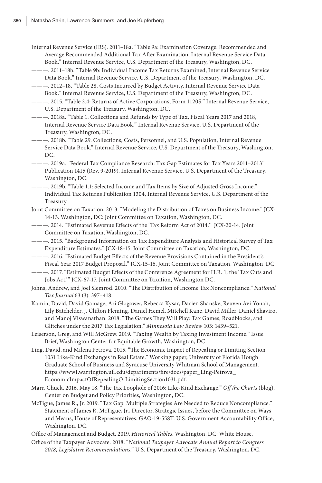Internal Revenue Service (IRS). 2011–18a. "Table 9a: Examination Coverage: Recommended and Average Recommended Additional Tax After Examination, Internal Revenue Service Data Book." Internal Revenue Service, U.S. Department of the Treasury, Washington, DC.

- ———. 2011–18b. "Table 9b: Individual Income Tax Returns Examined, Internal Revenue Service Data Book." Internal Revenue Service, U.S. Department of the Treasury, Washington, DC.
- ———. 2012–18. "Table 28. Costs Incurred by Budget Activity, Internal Revenue Service Data Book." Internal Revenue Service, U.S. Department of the Treasury, Washington, DC.
- ———. 2015. "Table 2.4: Returns of Active Corporations, Form 1120S." Internal Revenue Service, U.S. Department of the Treasury, Washington, DC.
- ———. 2018a. "Table 1. Collections and Refunds by Type of Tax, Fiscal Years 2017 and 2018, Internal Revenue Service Data Book." Internal Revenue Service, U.S. Department of the Treasury, Washington, DC.
- ———. 2018b. "Table 29. Collections, Costs, Personnel, and U.S. Population, Internal Revenue Service Data Book." Internal Revenue Service, U.S. Department of the Treasury, Washington, DC.
- ———. 2019a. "Federal Tax Compliance Research: Tax Gap Estimates for Tax Years 2011–2013" Publication 1415 (Rev. 9-2019). Internal Revenue Service, U.S. Department of the Treasury, Washington, DC.
- ———. 2019b. "Table 1.1: Selected Income and Tax Items by Size of Adjusted Gross Income." Individual Tax Returns Publication 1304, Internal Revenue Service, U.S. Department of the Treasury.

Joint Committee on Taxation. 2013. "Modeling the Distribution of Taxes on Business Income." JCX-14-13. Washington, DC: Joint Committee on Taxation, Washington, DC.

- ———. 2014. "Estimated Revenue Effects of the 'Tax Reform Act of 2014.'" JCX-20-14. Joint Committee on Taxation, Washington, DC.
- ———. 2015. "Background Information on Tax Expenditure Analysis and Historical Survey of Tax Expenditure Estimates." JCX-18-15. Joint Committee on Taxation, Washington, DC.
- ———. 2016. "Estimated Budget Effects of the Revenue Provisions Contained in the President's Fiscal Year 2017 Budget Proposal." JCX-15-16. Joint Committee on Taxation, Washington, DC.
- ———. 2017. "Estimated Budget Effects of the Conference Agreement for H.R. 1, the 'Tax Cuts and Jobs Act.'" JCX-67-17. Joint Committee on Taxation, Washington DC.
- Johns, Andrew, and Joel Slemrod. 2010. "The Distribution of Income Tax Noncompliance." *National Tax Journal* 63 (3): 397–418.
- Kamin, David, David Gamage, Ari Glogower, Rebecca Kysar, Darien Shanske, Reuven Avi-Yonah, Lily Batchelder, J. Clifton Fleming, Daniel Hemel, Mitchell Kane, David Miller, Daniel Shaviro, and Manoj Viswanathan. 2018. "The Games They Will Play: Tax Games, Roadblocks, and Glitches under the 2017 Tax Legislation." *Minnesota Law Review* 103: 1439–521.
- Leiserson, Greg, and Will McGrew. 2019. "Taxing Wealth by Taxing Investment Income." Issue Brief, Washington Center for Equitable Growth, Washington, DC.
- Ling, David, and Milena Petrova. 2015. "The Economic Impact of Repealing or Limiting Section 1031 Like-Kind Exchanges in Real Estate." Working paper, University of Florida Hough Graduate School of Business and Syracuse University Whitman School of Management. https://www1.warrington.ufl.edu/departments/fire/docs/paper\_Ling-Petrova\_ EconomicImpactOfRepealingOrLimitingSection1031.pdf.
- Marr, Chuck. 2016, May 18. "The Tax Loophole of 2016: Like-Kind Exchange." *Off the Charts* (blog), Center on Budget and Policy Priorities, Washington, DC.
- McTigue, James R., Jr. 2019. "Tax Gap: Multiple Strategies Are Needed to Reduce Noncompliance." Statement of James R. McTigue, Jr., Director, Strategic Issues, before the Committee on Ways and Means, House of Representatives. GAO-19-558T. U.S. Government Accountability Office, Washington, DC.
- Office of Management and Budget. 2019. *Historical Tables*. Washington, DC: White House.
- Office of the Taxpayer Advocate. 2018. "*National Taxpayer Advocate Annual Report to Congress 2018, Legislative Recommendations*." U.S. Department of the Treasury, Washington, DC.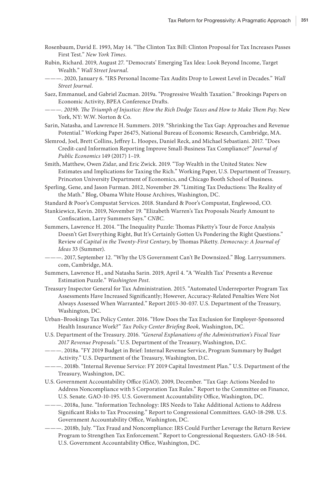- Rosenbaum, David E. 1993, May 14. "The Clinton Tax Bill: Clinton Proposal for Tax Increases Passes First Test." *New York Times*.
- Rubin, Richard. 2019, August 27. "Democrats' Emerging Tax Idea: Look Beyond Income, Target Wealth." *Wall Street Journal*.
- ———. 2020, January 6. "IRS Personal Income-Tax Audits Drop to Lowest Level in Decades." *Wall Street Journal*.
- Saez, Emmanuel, and Gabriel Zucman. 2019a. "Progressive Wealth Taxation." Brookings Papers on Economic Activity, BPEA Conference Drafts.
- *———. 2019b. The Triumph of Injustice: How the Rich Dodge Taxes and How to Make Them Pay*. New York, NY: W.W. Norton & Co.
- Sarin, Natasha, and Lawrence H. Summers. 2019. "Shrinking the Tax Gap: Approaches and Revenue Potential." Working Paper 26475, National Bureau of Economic Research, Cambridge, MA.
- Slemrod, Joel, Brett Collins, Jeffrey L. Hoopes, Daniel Reck, and Michael Sebastiani. 2017. "Does Credit-card Information Reporting Improve Small-Business Tax Compliance?" *Journal of Public Economics* 149 (2017) 1–19.
- Smith, Matthew, Owen Zidar, and Eric Zwick. 2019. "Top Wealth in the United States: New Estimates and Implications for Taxing the Rich." Working Paper, U.S. Department of Treasury, Princeton University Department of Economics, and Chicago Booth School of Business.
- Sperling, Gene, and Jason Furman. 2012, November 29. "Limiting Tax Deductions: The Reality of the Math." Blog, Obama White House Archives, Washington, DC.
- Standard & Poor's Compustat Services. 2018. Standard & Poor's Compustat, Englewood, CO.
- Stankiewicz, Kevin. 2019, November 19. "Elizabeth Warren's Tax Proposals Nearly Amount to Confiscation, Larry Summers Says." *CNBC.*
- Summers, Lawrence H. 2014. "The Inequality Puzzle: Thomas Piketty's Tour de Force Analysis Doesn't Get Everything Right, But It's Certainly Gotten Us Pondering the Right Questions." Review of *Capital in the Twenty-First Century*, by Thomas Piketty. *Democracy: A Journal of Ideas* 33 (Summer).
- ———. 2017, September 12. "Why the US Government Can't Be Downsized." Blog. Larrysummers. com, Cambridge, MA.
- Summers, Lawrence H., and Natasha Sarin. 2019, April 4. "A 'Wealth Tax' Presents a Revenue Estimation Puzzle." *Washington Post*.
- Treasury Inspector General for Tax Administration. 2015. "Automated Underreporter Program Tax Assessments Have Increased Significantly; However, Accuracy-Related Penalties Were Not Always Assessed When Warranted." Report 2015-30-037. U.S. Department of the Treasury, Washington, DC.
- Urban–Brookings Tax Policy Center. 2016. "How Does the Tax Exclusion for Employer-Sponsored Health Insurance Work?" *Tax Policy Center Briefing Book,* Washington, DC.
- U.S. Department of the Treasury. 2016. *"General Explanations of the Administration's Fiscal Year 2017 Revenue Proposals."* U.S. Department of the Treasury, Washington, D.C.
- ———. 2018a. "FY 2019 Budget in Brief: Internal Revenue Service, Program Summary by Budget Activity." U.S. Department of the Treasury, Washington, D.C.
- ———. 2018b. "Internal Revenue Service: FY 2019 Capital Investment Plan." U.S. Department of the Treasury, Washington, DC.
- U.S. Government Accountability Office (GAO). 2009, December. "Tax Gap: Actions Needed to Address Noncompliance with S Corporation Tax Rules." Report to the Committee on Finance, U.S. Senate. GAO-10-195. U.S. Government Accountability Office, Washington, DC.
- ———. 2018a, June. "Information Technology: IRS Needs to Take Additional Actions to Address Significant Risks to Tax Processing." Report to Congressional Committees. GAO-18-298. U.S. Government Accountability Office, Washington, DC.
- ———. 2018b, July. "Tax Fraud and Noncompliance: IRS Could Further Leverage the Return Review Program to Strengthen Tax Enforcement." Report to Congressional Requesters. GAO-18-544. U.S. Government Accountability Office, Washington, DC.